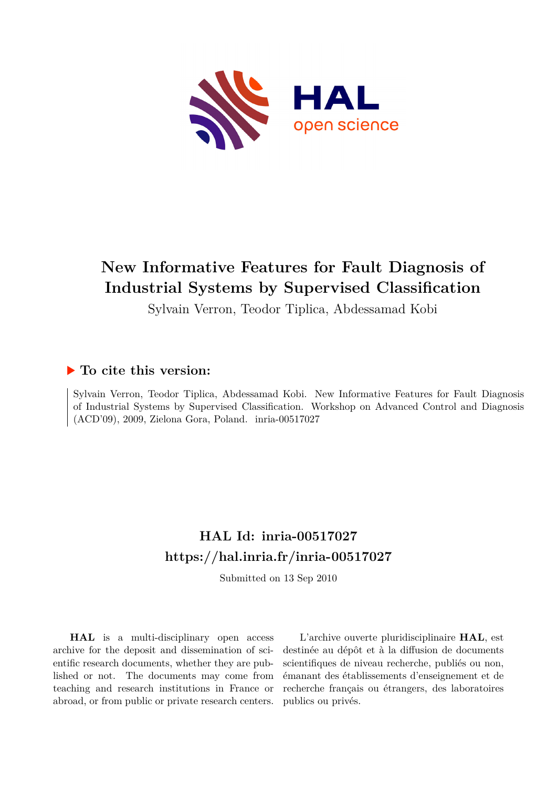

# **New Informative Features for Fault Diagnosis of Industrial Systems by Supervised Classification**

Sylvain Verron, Teodor Tiplica, Abdessamad Kobi

# **To cite this version:**

Sylvain Verron, Teodor Tiplica, Abdessamad Kobi. New Informative Features for Fault Diagnosis of Industrial Systems by Supervised Classification. Workshop on Advanced Control and Diagnosis (ACD'09), 2009, Zielona Gora, Poland. inria-00517027

# **HAL Id: inria-00517027 <https://hal.inria.fr/inria-00517027>**

Submitted on 13 Sep 2010

**HAL** is a multi-disciplinary open access archive for the deposit and dissemination of scientific research documents, whether they are published or not. The documents may come from teaching and research institutions in France or abroad, or from public or private research centers.

L'archive ouverte pluridisciplinaire **HAL**, est destinée au dépôt et à la diffusion de documents scientifiques de niveau recherche, publiés ou non, émanant des établissements d'enseignement et de recherche français ou étrangers, des laboratoires publics ou privés.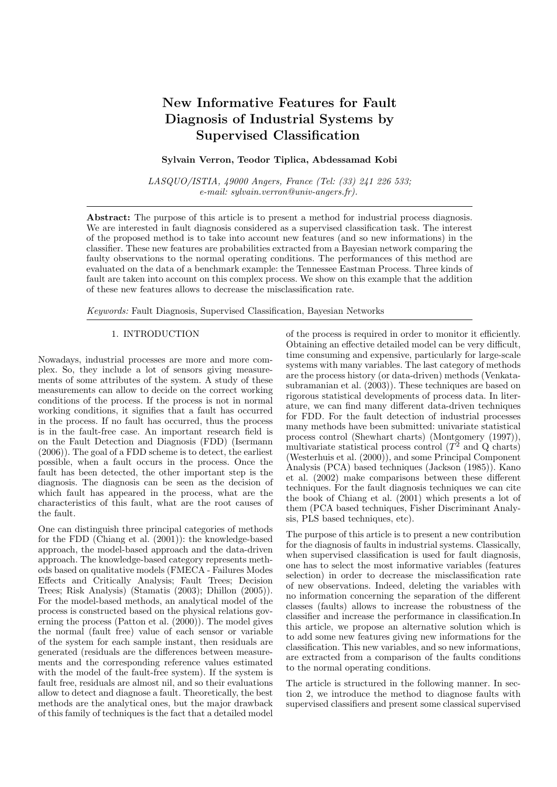# New Informative Features for Fault Diagnosis of Industrial Systems by Supervised Classification

# Sylvain Verron, Teodor Tiplica, Abdessamad Kobi

LASQUO/ISTIA, 49000 Angers, France (Tel: (33) 241 226 533; e-mail: sylvain.verron@univ-angers.fr).

Abstract: The purpose of this article is to present a method for industrial process diagnosis. We are interested in fault diagnosis considered as a supervised classification task. The interest of the proposed method is to take into account new features (and so new informations) in the classifier. These new features are probabilities extracted from a Bayesian network comparing the faulty observations to the normal operating conditions. The performances of this method are evaluated on the data of a benchmark example: the Tennessee Eastman Process. Three kinds of fault are taken into account on this complex process. We show on this example that the addition of these new features allows to decrease the misclassification rate.

Keywords: Fault Diagnosis, Supervised Classification, Bayesian Networks

## 1. INTRODUCTION

Nowadays, industrial processes are more and more complex. So, they include a lot of sensors giving measurements of some attributes of the system. A study of these measurements can allow to decide on the correct working conditions of the process. If the process is not in normal working conditions, it signifies that a fault has occurred in the process. If no fault has occurred, thus the process is in the fault-free case. An important research field is on the Fault Detection and Diagnosis (FDD) (Isermann (2006)). The goal of a FDD scheme is to detect, the earliest possible, when a fault occurs in the process. Once the fault has been detected, the other important step is the diagnosis. The diagnosis can be seen as the decision of which fault has appeared in the process, what are the characteristics of this fault, what are the root causes of the fault.

One can distinguish three principal categories of methods for the FDD (Chiang et al. (2001)): the knowledge-based approach, the model-based approach and the data-driven approach. The knowledge-based category represents methods based on qualitative models (FMECA - Failures Modes Effects and Critically Analysis; Fault Trees; Decision Trees; Risk Analysis) (Stamatis (2003); Dhillon (2005)). For the model-based methods, an analytical model of the process is constructed based on the physical relations governing the process (Patton et al. (2000)). The model gives the normal (fault free) value of each sensor or variable of the system for each sample instant, then residuals are generated (residuals are the differences between measurements and the corresponding reference values estimated with the model of the fault-free system). If the system is fault free, residuals are almost nil, and so their evaluations allow to detect and diagnose a fault. Theoretically, the best methods are the analytical ones, but the major drawback of this family of techniques is the fact that a detailed model

of the process is required in order to monitor it efficiently. Obtaining an effective detailed model can be very difficult, time consuming and expensive, particularly for large-scale systems with many variables. The last category of methods are the process history (or data-driven) methods (Venkatasubramanian et al. (2003)). These techniques are based on rigorous statistical developments of process data. In literature, we can find many different data-driven techniques for FDD. For the fault detection of industrial processes many methods have been submitted: univariate statistical process control (Shewhart charts) (Montgomery (1997)), multivariate statistical process control  $(T^2 \text{ and } Q \text{ charts})$ (Westerhuis et al. (2000)), and some Principal Component Analysis (PCA) based techniques (Jackson (1985)). Kano et al. (2002) make comparisons between these different techniques. For the fault diagnosis techniques we can cite the book of Chiang et al. (2001) which presents a lot of them (PCA based techniques, Fisher Discriminant Analysis, PLS based techniques, etc).

The purpose of this article is to present a new contribution for the diagnosis of faults in industrial systems. Classically, when supervised classification is used for fault diagnosis, one has to select the most informative variables (features selection) in order to decrease the misclassification rate of new observations. Indeed, deleting the variables with no information concerning the separation of the different classes (faults) allows to increase the robustness of the classifier and increase the performance in classification.In this article, we propose an alternative solution which is to add some new features giving new informations for the classification. This new variables, and so new informations, are extracted from a comparison of the faults conditions to the normal operating conditions.

The article is structured in the following manner. In section 2, we introduce the method to diagnose faults with supervised classifiers and present some classical supervised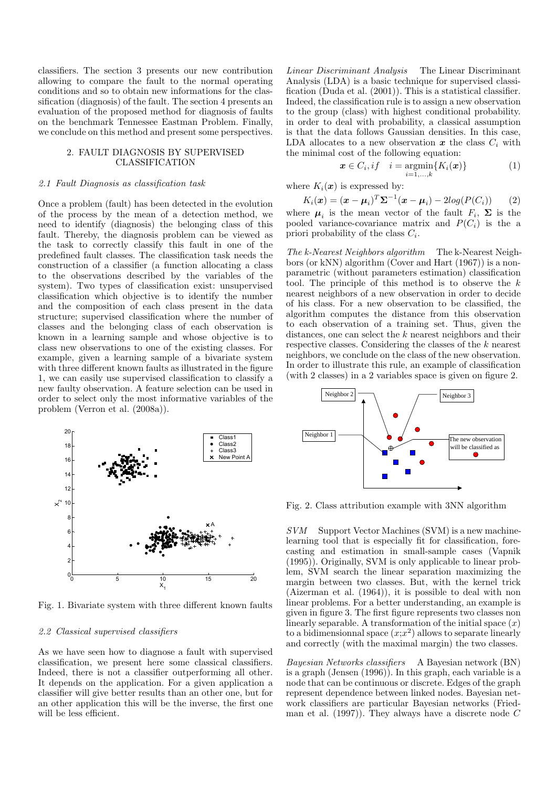classifiers. The section 3 presents our new contribution allowing to compare the fault to the normal operating conditions and so to obtain new informations for the classification (diagnosis) of the fault. The section 4 presents an evaluation of the proposed method for diagnosis of faults on the benchmark Tennessee Eastman Problem. Finally, we conclude on this method and present some perspectives.

### 2. FAULT DIAGNOSIS BY SUPERVISED CLASSIFICATION

#### 2.1 Fault Diagnosis as classification task

Once a problem (fault) has been detected in the evolution of the process by the mean of a detection method, we need to identify (diagnosis) the belonging class of this fault. Thereby, the diagnosis problem can be viewed as the task to correctly classify this fault in one of the predefined fault classes. The classification task needs the construction of a classifier (a function allocating a class to the observations described by the variables of the system). Two types of classification exist: unsupervised classification which objective is to identify the number and the composition of each class present in the data structure; supervised classification where the number of classes and the belonging class of each observation is known in a learning sample and whose objective is to class new observations to one of the existing classes. For example, given a learning sample of a bivariate system with three different known faults as illustrated in the figure 1, we can easily use supervised classification to classify a new faulty observation. A feature selection can be used in order to select only the most informative variables of the problem (Verron et al. (2008a)).



Fig. 1. Bivariate system with three different known faults

#### 2.2 Classical supervised classifiers

As we have seen how to diagnose a fault with supervised classification, we present here some classical classifiers. Indeed, there is not a classifier outperforming all other. It depends on the application. For a given application a classifier will give better results than an other one, but for an other application this will be the inverse, the first one will be less efficient.

Linear Discriminant Analysis The Linear Discriminant Analysis (LDA) is a basic technique for supervised classification (Duda et al. (2001)). This is a statistical classifier. Indeed, the classification rule is to assign a new observation to the group (class) with highest conditional probability. in order to deal with probability, a classical assumption is that the data follows Gaussian densities. In this case, LDA allocates to a new observation  $x$  the class  $C_i$  with the minimal cost of the following equation:

$$
\boldsymbol{x} \in C_i, if \quad i = \operatorname*{argmin}_{i=1,\ldots,k} \{ K_i(\boldsymbol{x}) \} \tag{1}
$$

where  $K_i(x)$  is expressed by:

$$
K_i(\boldsymbol{x}) = (\boldsymbol{x} - \boldsymbol{\mu}_i)^T \boldsymbol{\Sigma}^{-1} (\boldsymbol{x} - \boldsymbol{\mu}_i) - 2log(P(C_i)) \qquad (2)
$$

where  $\mu_i$  is the mean vector of the fault  $F_i$ ,  $\Sigma$  is the pooled variance-covariance matrix and  $P(C_i)$  is the a priori probability of the class  $C_i$ .

The k-Nearest Neighbors algorithm The k-Nearest Neighbors (or kNN) algorithm (Cover and Hart (1967)) is a nonparametric (without parameters estimation) classification tool. The principle of this method is to observe the  $k$ nearest neighbors of a new observation in order to decide of his class. For a new observation to be classified, the algorithm computes the distance from this observation to each observation of a training set. Thus, given the distances, one can select the k nearest neighbors and their respective classes. Considering the classes of the k nearest neighbors, we conclude on the class of the new observation. In order to illustrate this rule, an example of classification (with 2 classes) in a 2 variables space is given on figure 2.



Fig. 2. Class attribution example with 3NN algorithm

SVM Support Vector Machines (SVM) is a new machinelearning tool that is especially fit for classification, forecasting and estimation in small-sample cases (Vapnik (1995)). Originally, SVM is only applicable to linear problem, SVM search the linear separation maximizing the margin between two classes. But, with the kernel trick (Aizerman et al. (1964)), it is possible to deal with non linear problems. For a better understanding, an example is given in figure 3. The first figure represents two classes non linearly separable. A transformation of the initial space  $(x)$ to a bidimensionnal space  $(x; x^2)$  allows to separate linearly and correctly (with the maximal margin) the two classes.

Bayesian Networks classifiers A Bayesian network (BN) is a graph (Jensen (1996)). In this graph, each variable is a node that can be continuous or discrete. Edges of the graph represent dependence between linked nodes. Bayesian network classifiers are particular Bayesian networks (Friedman et al.  $(1997)$ . They always have a discrete node C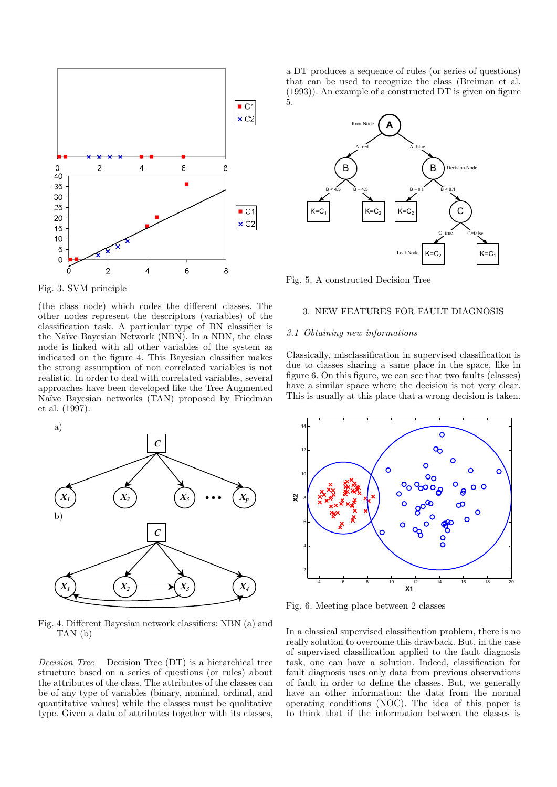

Fig. 3. SVM principle

(the class node) which codes the different classes. The other nodes represent the descriptors (variables) of the classification task. A particular type of BN classifier is the Na¨ıve Bayesian Network (NBN). In a NBN, the class node is linked with all other variables of the system as indicated on the figure 4. This Bayesian classifier makes the strong assumption of non correlated variables is not realistic. In order to deal with correlated variables, several approaches have been developed like the Tree Augmented Naïve Bayesian networks (TAN) proposed by Friedman et al. (1997).



Fig. 4. Different Bayesian network classifiers: NBN (a) and TAN (b)

Decision Tree Decision Tree (DT) is a hierarchical tree structure based on a series of questions (or rules) about the attributes of the class. The attributes of the classes can be of any type of variables (binary, nominal, ordinal, and quantitative values) while the classes must be qualitative type. Given a data of attributes together with its classes, a DT produces a sequence of rules (or series of questions) that can be used to recognize the class (Breiman et al. (1993)). An example of a constructed DT is given on figure 5.



Fig. 5. A constructed Decision Tree

#### 3. NEW FEATURES FOR FAULT DIAGNOSIS

#### 3.1 Obtaining new informations

Classically, misclassification in supervised classification is due to classes sharing a same place in the space, like in figure 6. On this figure, we can see that two faults (classes) have a similar space where the decision is not very clear. This is usually at this place that a wrong decision is taken.



Fig. 6. Meeting place between 2 classes

In a classical supervised classification problem, there is no really solution to overcome this drawback. But, in the case of supervised classification applied to the fault diagnosis task, one can have a solution. Indeed, classification for fault diagnosis uses only data from previous observations of fault in order to define the classes. But, we generally have an other information: the data from the normal operating conditions (NOC). The idea of this paper is to think that if the information between the classes is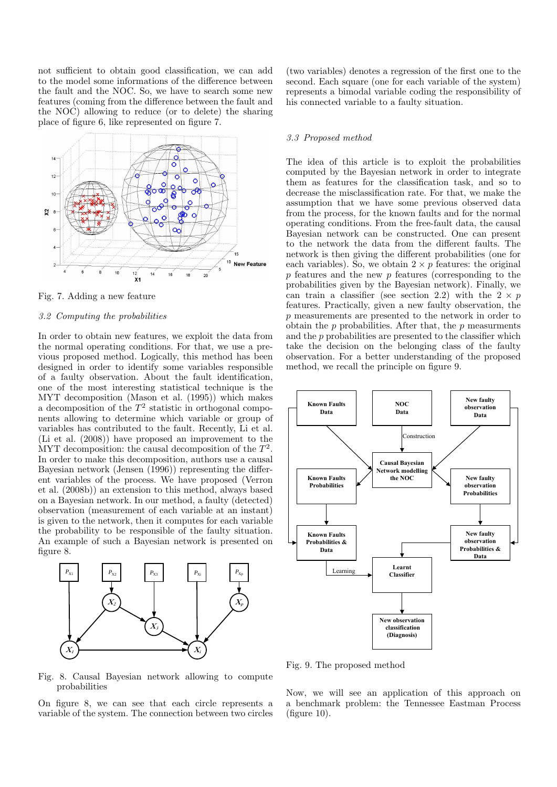not sufficient to obtain good classification, we can add to the model some informations of the difference between the fault and the NOC. So, we have to search some new features (coming from the difference between the fault and the NOC) allowing to reduce (or to delete) the sharing place of figure 6, like represented on figure 7.



Fig. 7. Adding a new feature

#### 3.2 Computing the probabilities

In order to obtain new features, we exploit the data from the normal operating conditions. For that, we use a previous proposed method. Logically, this method has been designed in order to identify some variables responsible of a faulty observation. About the fault identification, one of the most interesting statistical technique is the MYT decomposition (Mason et al. (1995)) which makes a decomposition of the  $T^2$  statistic in orthogonal components allowing to determine which variable or group of variables has contributed to the fault. Recently, Li et al. (Li et al. (2008)) have proposed an improvement to the MYT decomposition: the causal decomposition of the  $T^2$ . In order to make this decomposition, authors use a causal Bayesian network (Jensen (1996)) representing the different variables of the process. We have proposed (Verron et al. (2008b)) an extension to this method, always based on a Bayesian network. In our method, a faulty (detected) observation (measurement of each variable at an instant) is given to the network, then it computes for each variable the probability to be responsible of the faulty situation. An example of such a Bayesian network is presented on figure 8.



(two variables) denotes a regression of the first one to the second. Each square (one for each variable of the system) represents a bimodal variable coding the responsibility of his connected variable to a faulty situation.

#### 3.3 Proposed method

The idea of this article is to exploit the probabilities computed by the Bayesian network in order to integrate them as features for the classification task, and so to decrease the misclassification rate. For that, we make the assumption that we have some previous observed data from the process, for the known faults and for the normal operating conditions. From the free-fault data, the causal Bayesian network can be constructed. One can present to the network the data from the different faults. The network is then giving the different probabilities (one for each variables). So, we obtain  $2 \times p$  features: the original p features and the new p features (corresponding to the probabilities given by the Bayesian network). Finally, we can train a classifier (see section 2.2) with the  $2 \times p$ features. Practically, given a new faulty observation, the p measurements are presented to the network in order to obtain the  $p$  probabilities. After that, the  $p$  measurments and the  $p$  probabilities are presented to the classifier which take the decision on the belonging class of the faulty observation. For a better understanding of the proposed method, we recall the principle on figure 9.



Fig. 9. The proposed method

Fig. 8. Causal Bayesian network allowing to compute probabilities

On figure 8, we can see that each circle represents a variable of the system. The connection between two circles

Now, we will see an application of this approach on a benchmark problem: the Tennessee Eastman Process (figure 10).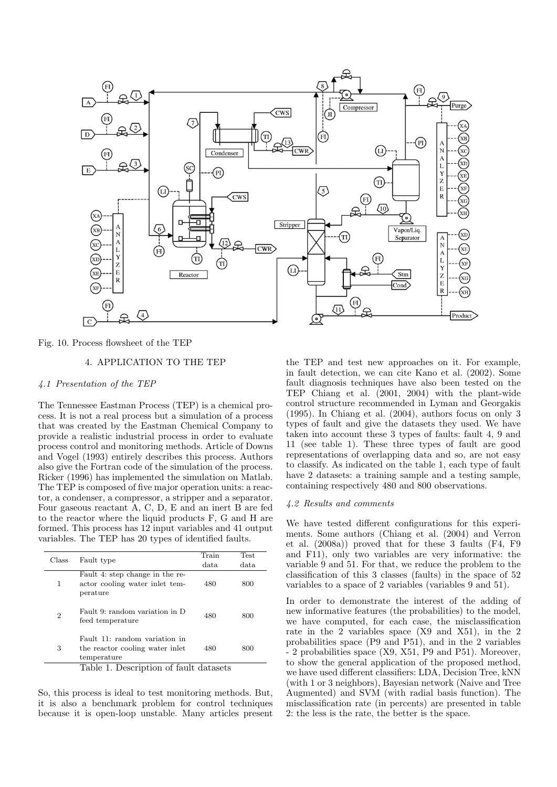

Fig. 10. Process flowsheet of the TEP

# 4. APPLICATION TO THE TEP

# 4.1 Presentation of the TEP

The Tennessee Eastman Process (TEP) is a chemical process. It is not a real process but a simulation of a process that was created by the Eastman Chemical Company to provide a realistic industrial process in order to evaluate process control and monitoring methods. Article of Downs and Vogel (1993) entirely describes this process. Authors also give the Fortran code of the simulation of the process. Ricker (1996) has implemented the simulation on Matlab. The TEP is composed of five major operation units: a reactor, a condenser, a compressor, a stripper and a separator. Four gaseous reactant A, C, D, E and an inert B are fed to the reactor where the liquid products F, G and H are formed. This process has 12 input variables and 41 output variables. The TEP has 20 types of identified faults.

| Class                                  | Fault type                                                                      | Train | Test. |  |
|----------------------------------------|---------------------------------------------------------------------------------|-------|-------|--|
|                                        |                                                                                 | data. | data. |  |
| 1                                      | Fault 4: step change in the re-<br>actor cooling water inlet tem-<br>perature   | 480   | 800   |  |
| $\overline{2}$                         | Fault 9: random variation in D<br>feed temperature                              | 480   | 800   |  |
| 3                                      | Fault 11: random variation in<br>the reactor cooling water inlet<br>temperature | 480   | 800   |  |
| Table 1. Description of fault datasets |                                                                                 |       |       |  |

So, this process is ideal to test monitoring methods. But, it is also a benchmark problem for control techniques because it is open-loop unstable. Many articles present the TEP and test new approaches on it. For example, in fault detection, we can cite Kano et al. (2002). Some fault diagnosis techniques have also been tested on the TEP Chiang et al. (2001, 2004) with the plant-wide control structure recommended in Lyman and Georgakis (1995). In Chiang et al. (2004), authors focus on only 3 types of fault and give the datasets they used. We have taken into account these 3 types of faults: fault 4, 9 and 11 (see table 1). These three types of fault are good representations of overlapping data and so, are not easy to classify. As indicated on the table 1, each type of fault have 2 datasets: a training sample and a testing sample, containing respectively 480 and 800 observations.

#### 4.2 Results and comments

We have tested different configurations for this experiments. Some authors (Chiang et al. (2004) and Verron et al. (2008a)) proved that for these 3 faults (F4, F9 and F11), only two variables are very informative: the variable 9 and 51. For that, we reduce the problem to the classification of this 3 classes (faults) in the space of 52 variables to a space of 2 variables (variables 9 and 51).

In order to demonstrate the interest of the adding of new informative features (the probabilities) to the model, we have computed, for each case, the misclassification rate in the 2 variables space (X9 and X51), in the 2 probabilities space (P9 and P51), and in the 2 variables - 2 probabilities space (X9, X51, P9 and P51). Moreover, to show the general application of the proposed method, we have used different classifiers: LDA, Decision Tree, kNN (with 1 or 3 neighbors), Bayesian network (Naive and Tree Augmented) and SVM (with radial basis function). The misclassification rate (in percents) are presented in table 2: the less is the rate, the better is the space.